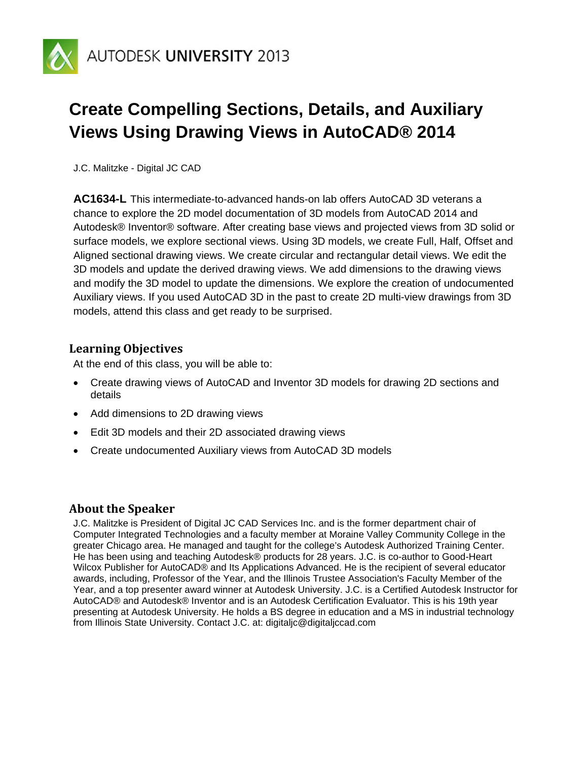

# **Create Compelling Sections, Details, and Auxiliary Views Using Drawing Views in AutoCAD® 2014**

J.C. Malitzke - Digital JC CAD

**AC1634-L** This intermediate-to-advanced hands-on lab offers AutoCAD 3D veterans a chance to explore the 2D model documentation of 3D models from AutoCAD 2014 and Autodesk® Inventor® software. After creating base views and projected views from 3D solid or surface models, we explore sectional views. Using 3D models, we create Full, Half, Offset and Aligned sectional drawing views. We create circular and rectangular detail views. We edit the 3D models and update the derived drawing views. We add dimensions to the drawing views and modify the 3D model to update the dimensions. We explore the creation of undocumented Auxiliary views. If you used AutoCAD 3D in the past to create 2D multi-view drawings from 3D models, attend this class and get ready to be surprised.

# **Learning Objectives**

At the end of this class, you will be able to:

- Create drawing views of AutoCAD and Inventor 3D models for drawing 2D sections and details
- Add dimensions to 2D drawing views
- Edit 3D models and their 2D associated drawing views
- Create undocumented Auxiliary views from AutoCAD 3D models

# **About the Speaker**

J.C. Malitzke is President of Digital JC CAD Services Inc. and is the former department chair of Computer Integrated Technologies and a faculty member at Moraine Valley Community College in the greater Chicago area. He managed and taught for the college's Autodesk Authorized Training Center. He has been using and teaching Autodesk® products for 28 years. J.C. is co-author to Good-Heart Wilcox Publisher for AutoCAD® and Its Applications Advanced. He is the recipient of several educator awards, including, Professor of the Year, and the Illinois Trustee Association's Faculty Member of the Year, and a top presenter award winner at Autodesk University. J.C. is a Certified Autodesk Instructor for AutoCAD® and Autodesk® Inventor and is an Autodesk Certification Evaluator. This is his 19th year presenting at Autodesk University. He holds a BS degree in education and a MS in industrial technology from Illinois State University. Contact J.C. at: digitaljc@digitaljccad.com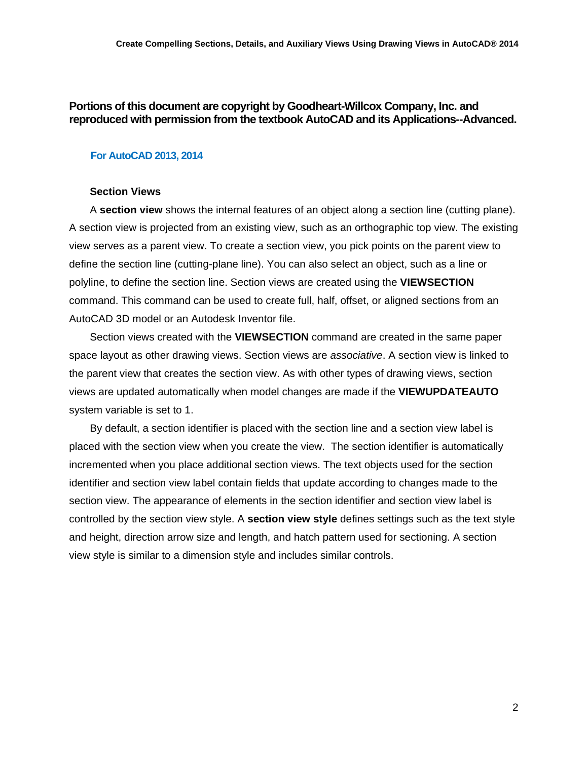# **Portions of this document are copyright by Goodheart-Willcox Company, Inc. and reproduced with permission from the textbook AutoCAD and its Applications--Advanced.**

### **For AutoCAD 2013, 2014**

### **Section Views**

A **section view** shows the internal features of an object along a section line (cutting plane). A section view is projected from an existing view, such as an orthographic top view. The existing view serves as a parent view. To create a section view, you pick points on the parent view to define the section line (cutting-plane line). You can also select an object, such as a line or polyline, to define the section line. Section views are created using the **VIEWSECTION** command. This command can be used to create full, half, offset, or aligned sections from an AutoCAD 3D model or an Autodesk Inventor file.

Section views created with the **VIEWSECTION** command are created in the same paper space layout as other drawing views. Section views are *associative*. A section view is linked to the parent view that creates the section view. As with other types of drawing views, section views are updated automatically when model changes are made if the **VIEWUPDATEAUTO** system variable is set to 1.

By default, a section identifier is placed with the section line and a section view label is placed with the section view when you create the view. The section identifier is automatically incremented when you place additional section views. The text objects used for the section identifier and section view label contain fields that update according to changes made to the section view. The appearance of elements in the section identifier and section view label is controlled by the section view style. A **section view style** defines settings such as the text style and height, direction arrow size and length, and hatch pattern used for sectioning. A section view style is similar to a dimension style and includes similar controls.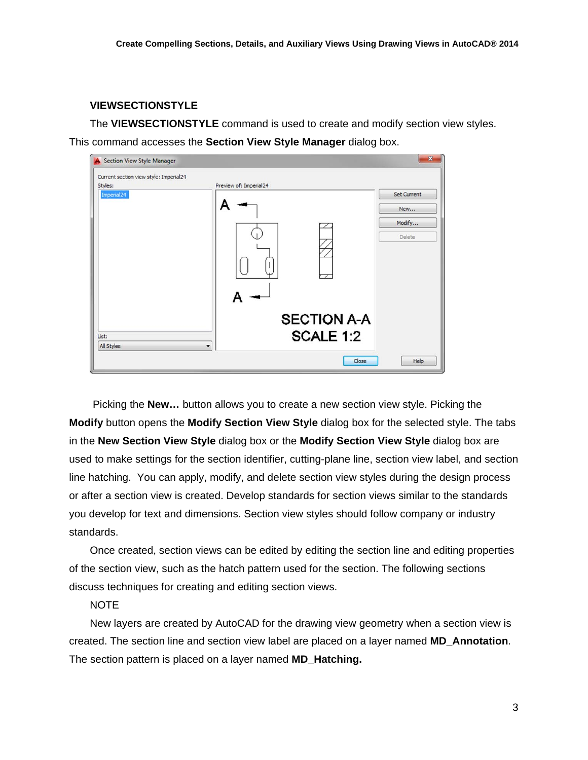# **VIEWSECTIONSTYLE**

The **VIEWSECTIONSTYLE** command is used to create and modify section view styles.

This command accesses the **Section View Style Manager** dialog box.



 Picking the **New…** button allows you to create a new section view style. Picking the **Modify** button opens the **Modify Section View Style** dialog box for the selected style. The tabs in the **New Section View Style** dialog box or the **Modify Section View Style** dialog box are used to make settings for the section identifier, cutting-plane line, section view label, and section line hatching. You can apply, modify, and delete section view styles during the design process or after a section view is created. Develop standards for section views similar to the standards you develop for text and dimensions. Section view styles should follow company or industry standards.

Once created, section views can be edited by editing the section line and editing properties of the section view, such as the hatch pattern used for the section. The following sections discuss techniques for creating and editing section views.

## NOTE

New layers are created by AutoCAD for the drawing view geometry when a section view is created. The section line and section view label are placed on a layer named **MD\_Annotation**. The section pattern is placed on a layer named **MD\_Hatching.**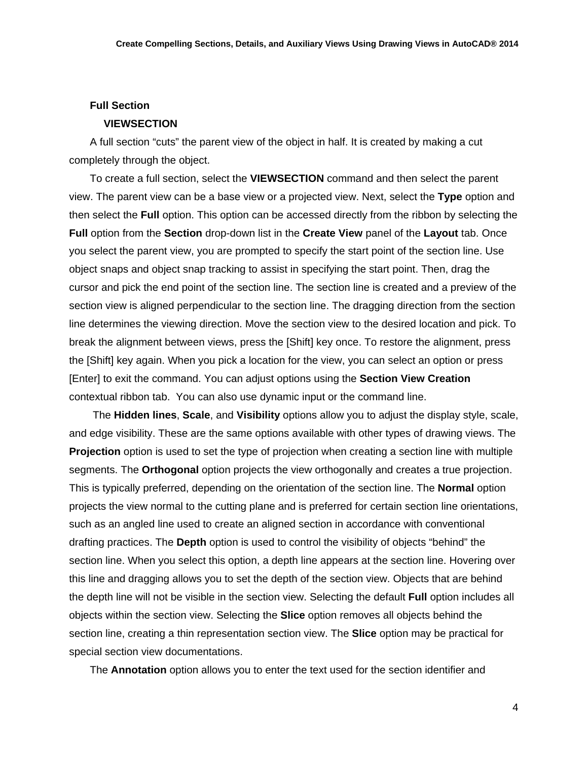### **Full Section**

### **VIEWSECTION**

A full section "cuts" the parent view of the object in half. It is created by making a cut completely through the object.

To create a full section, select the **VIEWSECTION** command and then select the parent view. The parent view can be a base view or a projected view. Next, select the **Type** option and then select the **Full** option. This option can be accessed directly from the ribbon by selecting the **Full** option from the **Section** drop-down list in the **Create View** panel of the **Layout** tab. Once you select the parent view, you are prompted to specify the start point of the section line. Use object snaps and object snap tracking to assist in specifying the start point. Then, drag the cursor and pick the end point of the section line. The section line is created and a preview of the section view is aligned perpendicular to the section line. The dragging direction from the section line determines the viewing direction. Move the section view to the desired location and pick. To break the alignment between views, press the [Shift] key once. To restore the alignment, press the [Shift] key again. When you pick a location for the view, you can select an option or press [Enter] to exit the command. You can adjust options using the **Section View Creation** contextual ribbon tab. You can also use dynamic input or the command line.

 The **Hidden lines**, **Scale**, and **Visibility** options allow you to adjust the display style, scale, and edge visibility. These are the same options available with other types of drawing views. The **Projection** option is used to set the type of projection when creating a section line with multiple segments. The **Orthogonal** option projects the view orthogonally and creates a true projection. This is typically preferred, depending on the orientation of the section line. The **Normal** option projects the view normal to the cutting plane and is preferred for certain section line orientations, such as an angled line used to create an aligned section in accordance with conventional drafting practices. The **Depth** option is used to control the visibility of objects "behind" the section line. When you select this option, a depth line appears at the section line. Hovering over this line and dragging allows you to set the depth of the section view. Objects that are behind the depth line will not be visible in the section view. Selecting the default **Full** option includes all objects within the section view. Selecting the **Slice** option removes all objects behind the section line, creating a thin representation section view. The **Slice** option may be practical for special section view documentations.

The **Annotation** option allows you to enter the text used for the section identifier and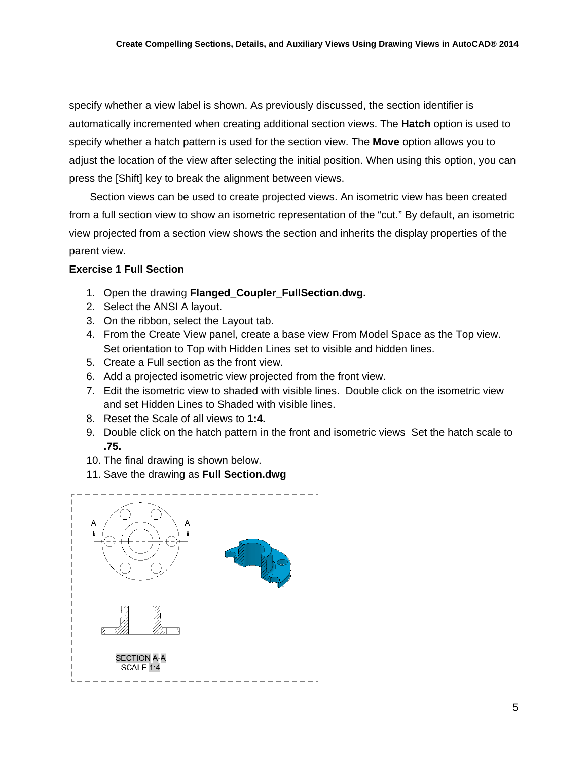specify whether a view label is shown. As previously discussed, the section identifier is automatically incremented when creating additional section views. The **Hatch** option is used to specify whether a hatch pattern is used for the section view. The **Move** option allows you to adjust the location of the view after selecting the initial position. When using this option, you can press the [Shift] key to break the alignment between views.

Section views can be used to create projected views. An isometric view has been created from a full section view to show an isometric representation of the "cut." By default, an isometric view projected from a section view shows the section and inherits the display properties of the parent view.

# **Exercise 1 Full Section**

- 1. Open the drawing **Flanged\_Coupler\_FullSection.dwg.**
- 2. Select the ANSI A layout.
- 3. On the ribbon, select the Layout tab.
- 4. From the Create View panel, create a base view From Model Space as the Top view. Set orientation to Top with Hidden Lines set to visible and hidden lines.
- 5. Create a Full section as the front view.
- 6. Add a projected isometric view projected from the front view.
- 7. Edit the isometric view to shaded with visible lines. Double click on the isometric view and set Hidden Lines to Shaded with visible lines.
- 8. Reset the Scale of all views to **1:4.**
- 9. Double click on the hatch pattern in the front and isometric views Set the hatch scale to **.75.**
- 10. The final drawing is shown below.
- 11. Save the drawing as **Full Section.dwg**

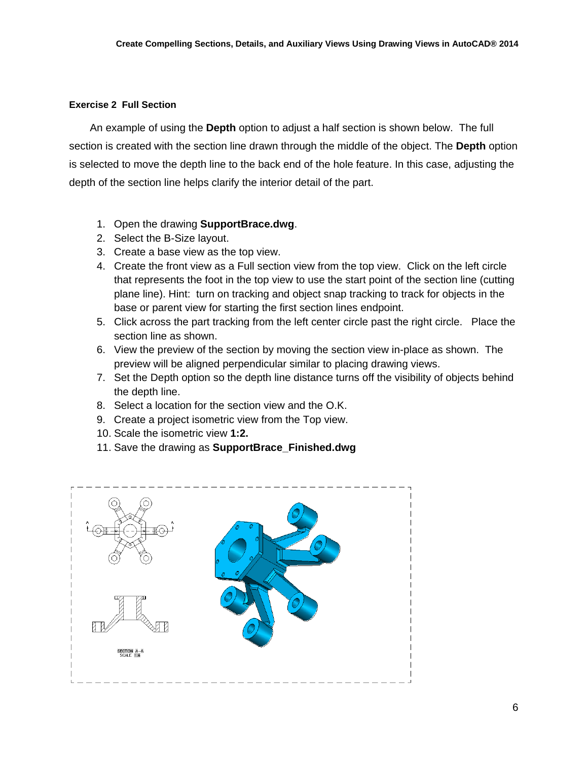### **Exercise 2 Full Section**

An example of using the **Depth** option to adjust a half section is shown below. The full section is created with the section line drawn through the middle of the object. The **Depth** option is selected to move the depth line to the back end of the hole feature. In this case, adjusting the depth of the section line helps clarify the interior detail of the part.

- 1. Open the drawing **SupportBrace.dwg**.
- 2. Select the B-Size layout.
- 3. Create a base view as the top view.
- 4. Create the front view as a Full section view from the top view. Click on the left circle that represents the foot in the top view to use the start point of the section line (cutting plane line). Hint: turn on tracking and object snap tracking to track for objects in the base or parent view for starting the first section lines endpoint.
- 5. Click across the part tracking from the left center circle past the right circle. Place the section line as shown.
- 6. View the preview of the section by moving the section view in-place as shown. The preview will be aligned perpendicular similar to placing drawing views.
- 7. Set the Depth option so the depth line distance turns off the visibility of objects behind the depth line.
- 8. Select a location for the section view and the O.K.
- 9. Create a project isometric view from the Top view.
- 10. Scale the isometric view **1:2.**
- 11. Save the drawing as **SupportBrace\_Finished.dwg**

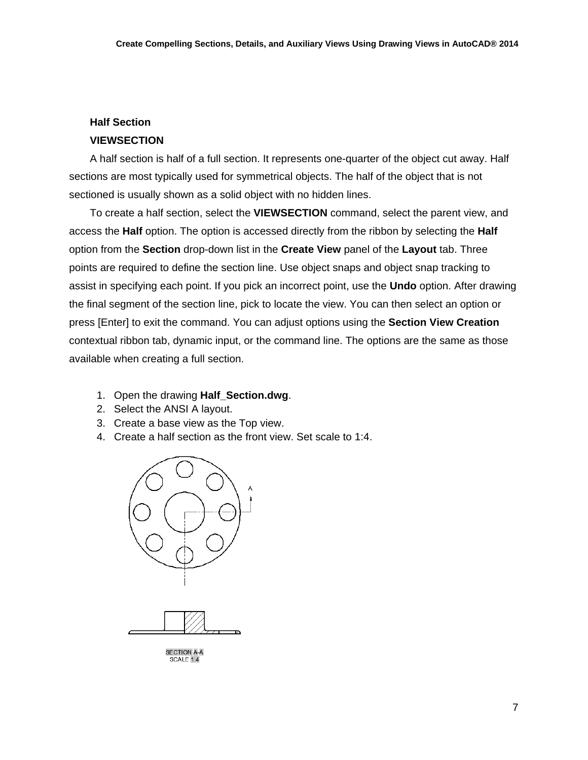# **Half Section VIEWSECTION**

A half section is half of a full section. It represents one-quarter of the object cut away. Half sections are most typically used for symmetrical objects. The half of the object that is not sectioned is usually shown as a solid object with no hidden lines.

To create a half section, select the **VIEWSECTION** command, select the parent view, and access the **Half** option. The option is accessed directly from the ribbon by selecting the **Half** option from the **Section** drop-down list in the **Create View** panel of the **Layout** tab. Three points are required to define the section line. Use object snaps and object snap tracking to assist in specifying each point. If you pick an incorrect point, use the **Undo** option. After drawing the final segment of the section line, pick to locate the view. You can then select an option or press [Enter] to exit the command. You can adjust options using the **Section View Creation** contextual ribbon tab, dynamic input, or the command line. The options are the same as those available when creating a full section.

- 1. Open the drawing **Half\_Section.dwg**.
- 2. Select the ANSI A layout.
- 3. Create a base view as the Top view.
- 4. Create a half section as the front view. Set scale to 1:4.

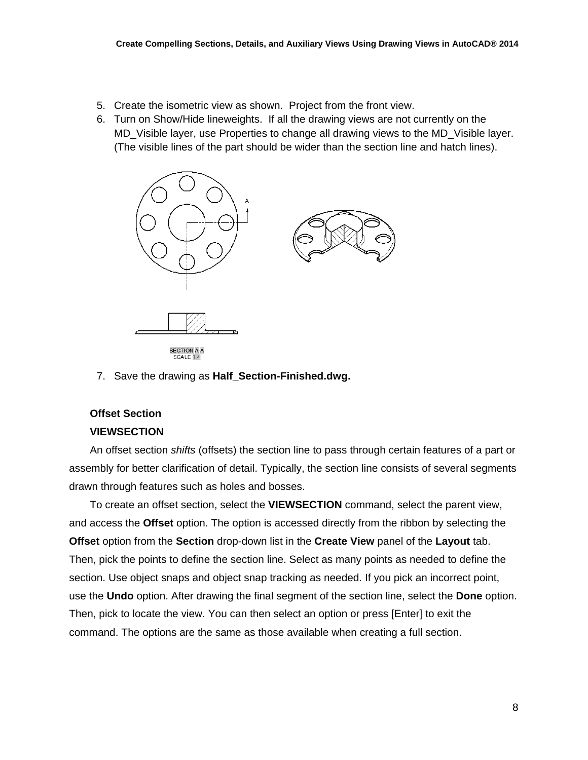- 5. Create the isometric view as shown. Project from the front view.
- 6. Turn on Show/Hide lineweights. If all the drawing views are not currently on the MD\_Visible layer, use Properties to change all drawing views to the MD\_Visible layer. (The visible lines of the part should be wider than the section line and hatch lines).



7. Save the drawing as **Half\_Section-Finished.dwg.**

# **Offset Section VIEWSECTION**

An offset section *shifts* (offsets) the section line to pass through certain features of a part or assembly for better clarification of detail. Typically, the section line consists of several segments drawn through features such as holes and bosses.

To create an offset section, select the **VIEWSECTION** command, select the parent view, and access the **Offset** option. The option is accessed directly from the ribbon by selecting the **Offset** option from the **Section** drop-down list in the **Create View** panel of the **Layout** tab. Then, pick the points to define the section line. Select as many points as needed to define the section. Use object snaps and object snap tracking as needed. If you pick an incorrect point, use the **Undo** option. After drawing the final segment of the section line, select the **Done** option. Then, pick to locate the view. You can then select an option or press [Enter] to exit the command. The options are the same as those available when creating a full section.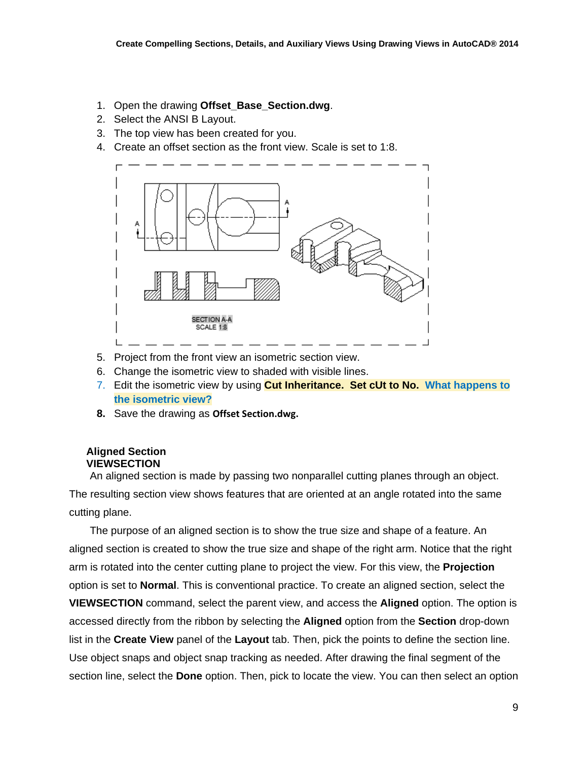- 1. Open the drawing **Offset\_Base\_Section.dwg**.
- 2. Select the ANSI B Layout.
- 3. The top view has been created for you.
- 4. Create an offset section as the front view. Scale is set to 1:8.



- 5. Project from the front view an isometric section view.
- 6. Change the isometric view to shaded with visible lines.
- 7. Edit the isometric view by using **Cut Inheritance. Set cUt to No. What happens to the isometric view?**
- **8.** Save the drawing as **Offset Section.dwg.**

## **Aligned Section VIEWSECTION**

An aligned section is made by passing two nonparallel cutting planes through an object. The resulting section view shows features that are oriented at an angle rotated into the same cutting plane.

The purpose of an aligned section is to show the true size and shape of a feature. An aligned section is created to show the true size and shape of the right arm. Notice that the right arm is rotated into the center cutting plane to project the view. For this view, the **Projection** option is set to **Normal**. This is conventional practice. To create an aligned section, select the **VIEWSECTION** command, select the parent view, and access the **Aligned** option. The option is accessed directly from the ribbon by selecting the **Aligned** option from the **Section** drop-down list in the **Create View** panel of the **Layout** tab. Then, pick the points to define the section line. Use object snaps and object snap tracking as needed. After drawing the final segment of the section line, select the **Done** option. Then, pick to locate the view. You can then select an option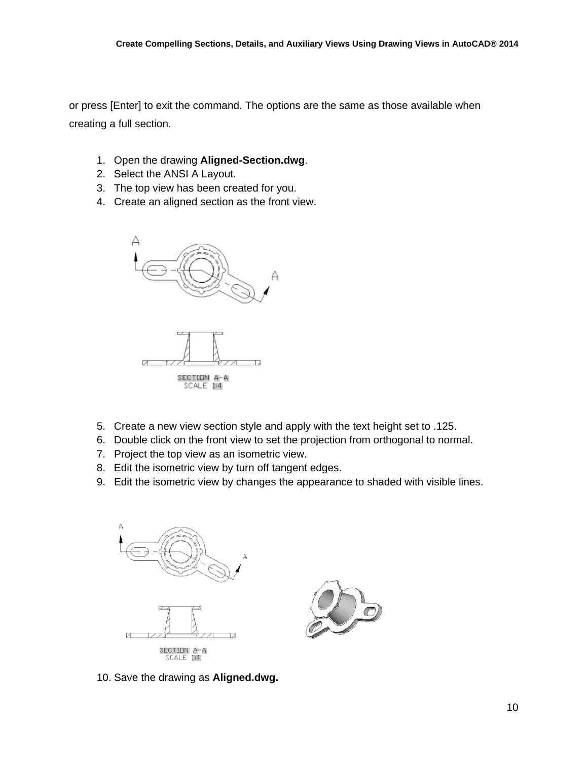or press [Enter] to exit the command. The options are the same as those available when creating a full section.

- 1. Open the drawing **Aligned-Section.dwg**.
- 2. Select the ANSI A Layout.
- 3. The top view has been created for you.
- 4. Create an aligned section as the front view.



- 5. Create a new view section style and apply with the text height set to .125.
- 6. Double click on the front view to set the projection from orthogonal to normal.
- 7. Project the top view as an isometric view.
- 8. Edit the isometric view by turn off tangent edges.
- 9. Edit the isometric view by changes the appearance to shaded with visible lines.



10. Save the drawing as **Aligned.dwg.**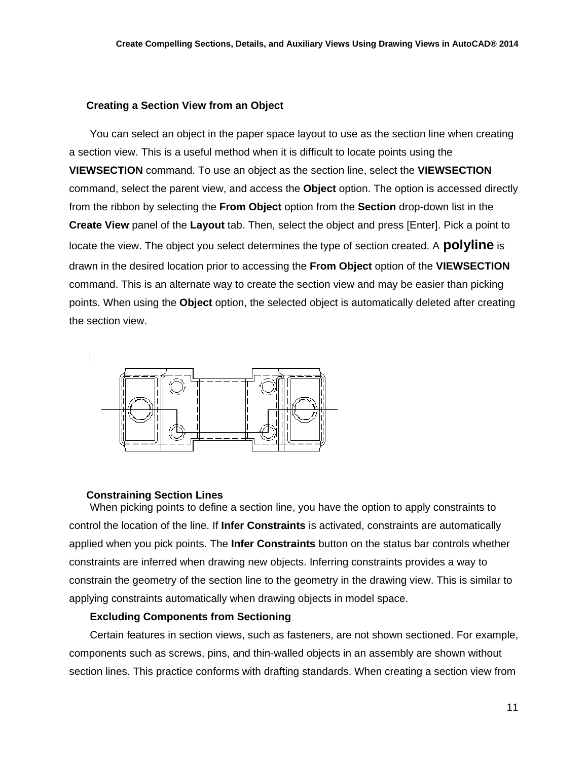### **Creating a Section View from an Object**

You can select an object in the paper space layout to use as the section line when creating a section view. This is a useful method when it is difficult to locate points using the **VIEWSECTION** command. To use an object as the section line, select the **VIEWSECTION** command, select the parent view, and access the **Object** option. The option is accessed directly from the ribbon by selecting the **From Object** option from the **Section** drop-down list in the **Create View** panel of the **Layout** tab. Then, select the object and press [Enter]. Pick a point to locate the view. The object you select determines the type of section created. A **polyline** is drawn in the desired location prior to accessing the **From Object** option of the **VIEWSECTION** command. This is an alternate way to create the section view and may be easier than picking points. When using the **Object** option, the selected object is automatically deleted after creating the section view.



#### **Constraining Section Lines**

When picking points to define a section line, you have the option to apply constraints to control the location of the line. If **Infer Constraints** is activated, constraints are automatically applied when you pick points. The **Infer Constraints** button on the status bar controls whether constraints are inferred when drawing new objects. Inferring constraints provides a way to constrain the geometry of the section line to the geometry in the drawing view. This is similar to applying constraints automatically when drawing objects in model space.

### **Excluding Components from Sectioning**

Certain features in section views, such as fasteners, are not shown sectioned. For example, components such as screws, pins, and thin-walled objects in an assembly are shown without section lines. This practice conforms with drafting standards. When creating a section view from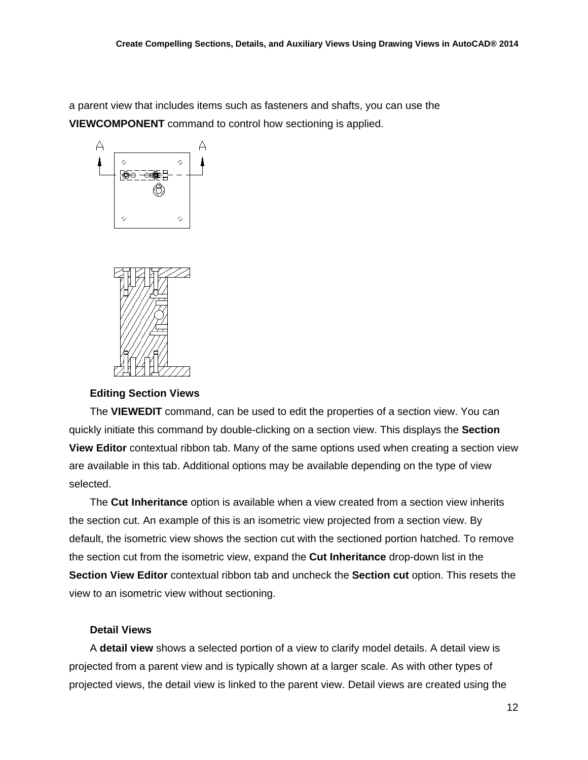a parent view that includes items such as fasteners and shafts, you can use the **VIEWCOMPONENT** command to control how sectioning is applied.





## **Editing Section Views**

The **VIEWEDIT** command, can be used to edit the properties of a section view. You can quickly initiate this command by double-clicking on a section view. This displays the **Section View Editor** contextual ribbon tab. Many of the same options used when creating a section view are available in this tab. Additional options may be available depending on the type of view selected.

The **Cut Inheritance** option is available when a view created from a section view inherits the section cut. An example of this is an isometric view projected from a section view. By default, the isometric view shows the section cut with the sectioned portion hatched. To remove the section cut from the isometric view, expand the **Cut Inheritance** drop-down list in the **Section View Editor** contextual ribbon tab and uncheck the **Section cut** option. This resets the view to an isometric view without sectioning.

### **Detail Views**

A **detail view** shows a selected portion of a view to clarify model details. A detail view is projected from a parent view and is typically shown at a larger scale. As with other types of projected views, the detail view is linked to the parent view. Detail views are created using the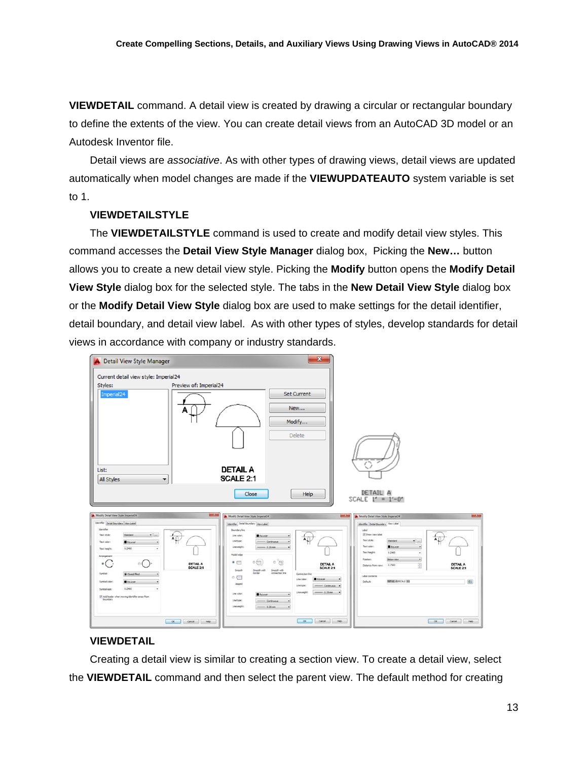**VIEWDETAIL** command. A detail view is created by drawing a circular or rectangular boundary to define the extents of the view. You can create detail views from an AutoCAD 3D model or an Autodesk Inventor file.

Detail views are *associative*. As with other types of drawing views, detail views are updated automatically when model changes are made if the **VIEWUPDATEAUTO** system variable is set to 1.

## **VIEWDETAILSTYLE**

The **VIEWDETAILSTYLE** command is used to create and modify detail view styles. This command accesses the **Detail View Style Manager** dialog box, Picking the **New…** button allows you to create a new detail view style. Picking the **Modify** button opens the **Modify Detail View Style** dialog box for the selected style. The tabs in the **New Detail View Style** dialog box or the **Modify Detail View Style** dialog box are used to make settings for the detail identifier, detail boundary, and detail view label. As with other types of styles, develop standards for detail views in accordance with company or industry standards.



## **VIEWDETAIL**

Creating a detail view is similar to creating a section view. To create a detail view, select the **VIEWDETAIL** command and then select the parent view. The default method for creating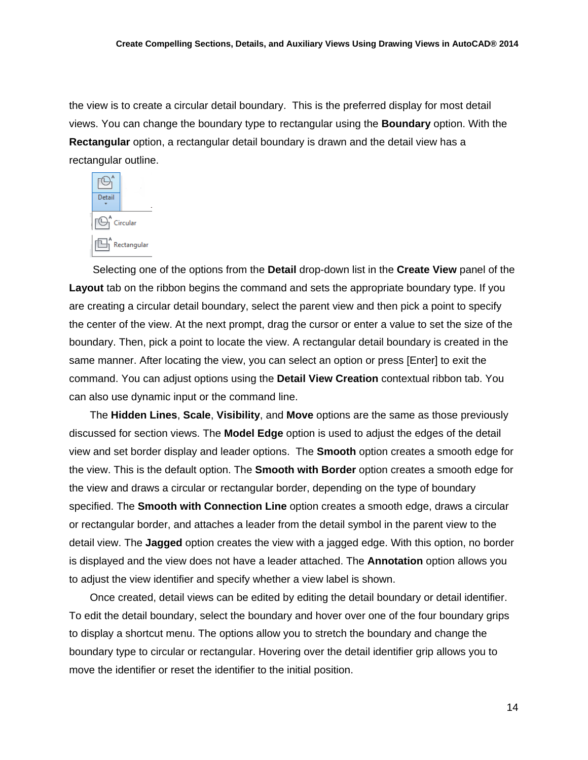the view is to create a circular detail boundary. This is the preferred display for most detail views. You can change the boundary type to rectangular using the **Boundary** option. With the **Rectangular** option, a rectangular detail boundary is drawn and the detail view has a rectangular outline.

| Detail      |  |
|-------------|--|
| Circular    |  |
| Rectangular |  |

 Selecting one of the options from the **Detail** drop-down list in the **Create View** panel of the **Layout** tab on the ribbon begins the command and sets the appropriate boundary type. If you are creating a circular detail boundary, select the parent view and then pick a point to specify the center of the view. At the next prompt, drag the cursor or enter a value to set the size of the boundary. Then, pick a point to locate the view. A rectangular detail boundary is created in the same manner. After locating the view, you can select an option or press [Enter] to exit the command. You can adjust options using the **Detail View Creation** contextual ribbon tab. You can also use dynamic input or the command line.

The **Hidden Lines**, **Scale**, **Visibility**, and **Move** options are the same as those previously discussed for section views. The **Model Edge** option is used to adjust the edges of the detail view and set border display and leader options. The **Smooth** option creates a smooth edge for the view. This is the default option. The **Smooth with Border** option creates a smooth edge for the view and draws a circular or rectangular border, depending on the type of boundary specified. The **Smooth with Connection Line** option creates a smooth edge, draws a circular or rectangular border, and attaches a leader from the detail symbol in the parent view to the detail view. The **Jagged** option creates the view with a jagged edge. With this option, no border is displayed and the view does not have a leader attached. The **Annotation** option allows you to adjust the view identifier and specify whether a view label is shown.

Once created, detail views can be edited by editing the detail boundary or detail identifier. To edit the detail boundary, select the boundary and hover over one of the four boundary grips to display a shortcut menu. The options allow you to stretch the boundary and change the boundary type to circular or rectangular. Hovering over the detail identifier grip allows you to move the identifier or reset the identifier to the initial position.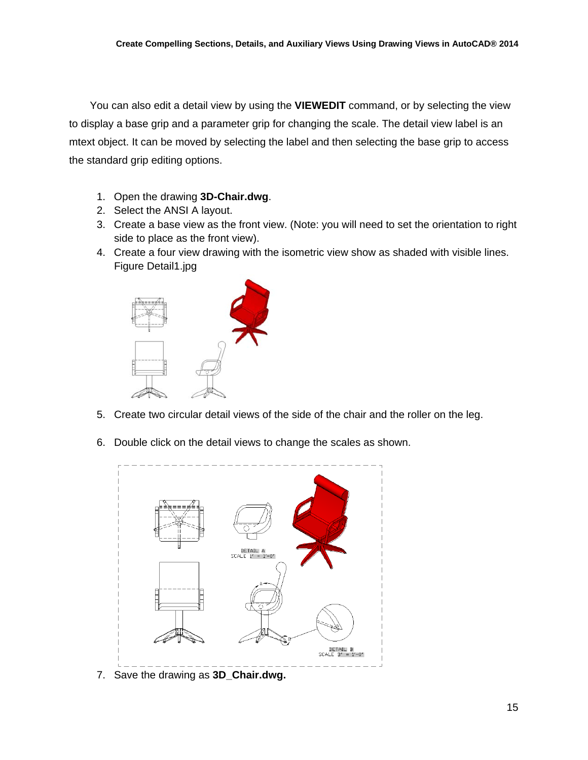You can also edit a detail view by using the **VIEWEDIT** command, or by selecting the view to display a base grip and a parameter grip for changing the scale. The detail view label is an mtext object. It can be moved by selecting the label and then selecting the base grip to access the standard grip editing options.

- 1. Open the drawing **3D-Chair.dwg**.
- 2. Select the ANSI A layout.
- 3. Create a base view as the front view. (Note: you will need to set the orientation to right side to place as the front view).
- 4. Create a four view drawing with the isometric view show as shaded with visible lines. Figure Detail1.jpg



- 5. Create two circular detail views of the side of the chair and the roller on the leg.
- 6. Double click on the detail views to change the scales as shown.



7. Save the drawing as **3D\_Chair.dwg.**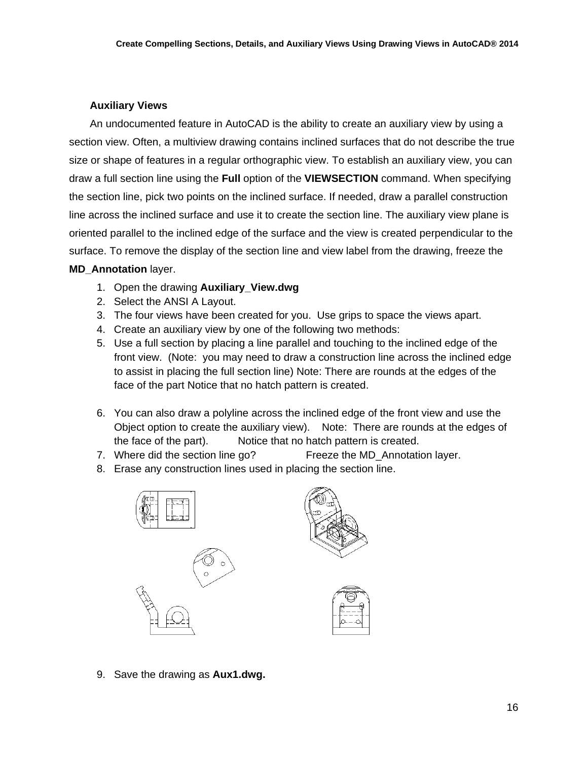# **Auxiliary Views**

An undocumented feature in AutoCAD is the ability to create an auxiliary view by using a section view. Often, a multiview drawing contains inclined surfaces that do not describe the true size or shape of features in a regular orthographic view. To establish an auxiliary view, you can draw a full section line using the **Full** option of the **VIEWSECTION** command. When specifying the section line, pick two points on the inclined surface. If needed, draw a parallel construction line across the inclined surface and use it to create the section line. The auxiliary view plane is oriented parallel to the inclined edge of the surface and the view is created perpendicular to the surface. To remove the display of the section line and view label from the drawing, freeze the **MD\_Annotation** layer.

- 1. Open the drawing **Auxiliary\_View.dwg**
- 2. Select the ANSI A Layout.
- 3. The four views have been created for you. Use grips to space the views apart.
- 4. Create an auxiliary view by one of the following two methods:
- 5. Use a full section by placing a line parallel and touching to the inclined edge of the front view. (Note: you may need to draw a construction line across the inclined edge to assist in placing the full section line) Note: There are rounds at the edges of the face of the part Notice that no hatch pattern is created.
- 6. You can also draw a polyline across the inclined edge of the front view and use the Object option to create the auxiliary view). Note: There are rounds at the edges of the face of the part). Notice that no hatch pattern is created.
- 7. Where did the section line go? Freeze the MD Annotation layer.
- 8. Erase any construction lines used in placing the section line.







9. Save the drawing as **Aux1.dwg.**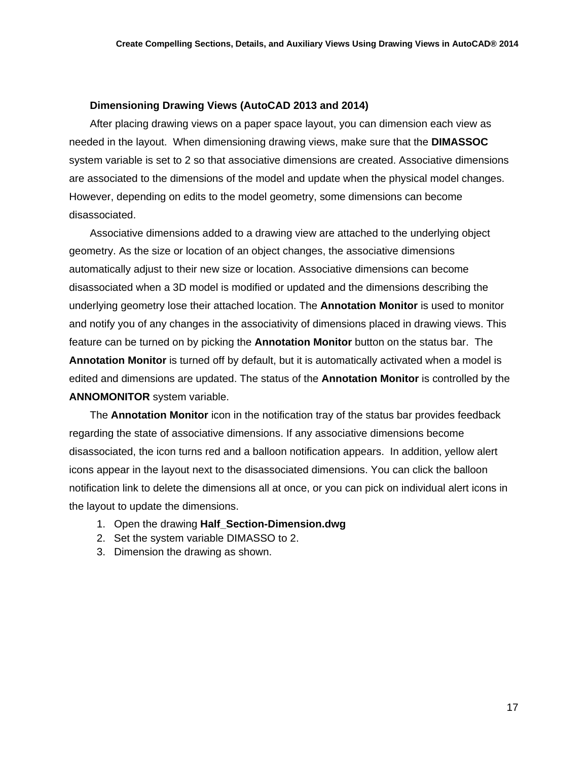### **Dimensioning Drawing Views (AutoCAD 2013 and 2014)**

After placing drawing views on a paper space layout, you can dimension each view as needed in the layout. When dimensioning drawing views, make sure that the **DIMASSOC** system variable is set to 2 so that associative dimensions are created. Associative dimensions are associated to the dimensions of the model and update when the physical model changes. However, depending on edits to the model geometry, some dimensions can become disassociated.

Associative dimensions added to a drawing view are attached to the underlying object geometry. As the size or location of an object changes, the associative dimensions automatically adjust to their new size or location. Associative dimensions can become disassociated when a 3D model is modified or updated and the dimensions describing the underlying geometry lose their attached location. The **Annotation Monitor** is used to monitor and notify you of any changes in the associativity of dimensions placed in drawing views. This feature can be turned on by picking the **Annotation Monitor** button on the status bar. The **Annotation Monitor** is turned off by default, but it is automatically activated when a model is edited and dimensions are updated. The status of the **Annotation Monitor** is controlled by the **ANNOMONITOR** system variable.

The **Annotation Monitor** icon in the notification tray of the status bar provides feedback regarding the state of associative dimensions. If any associative dimensions become disassociated, the icon turns red and a balloon notification appears. In addition, yellow alert icons appear in the layout next to the disassociated dimensions. You can click the balloon notification link to delete the dimensions all at once, or you can pick on individual alert icons in the layout to update the dimensions.

- 1. Open the drawing **Half\_Section-Dimension.dwg**
- 2. Set the system variable DIMASSO to 2.
- 3. Dimension the drawing as shown.